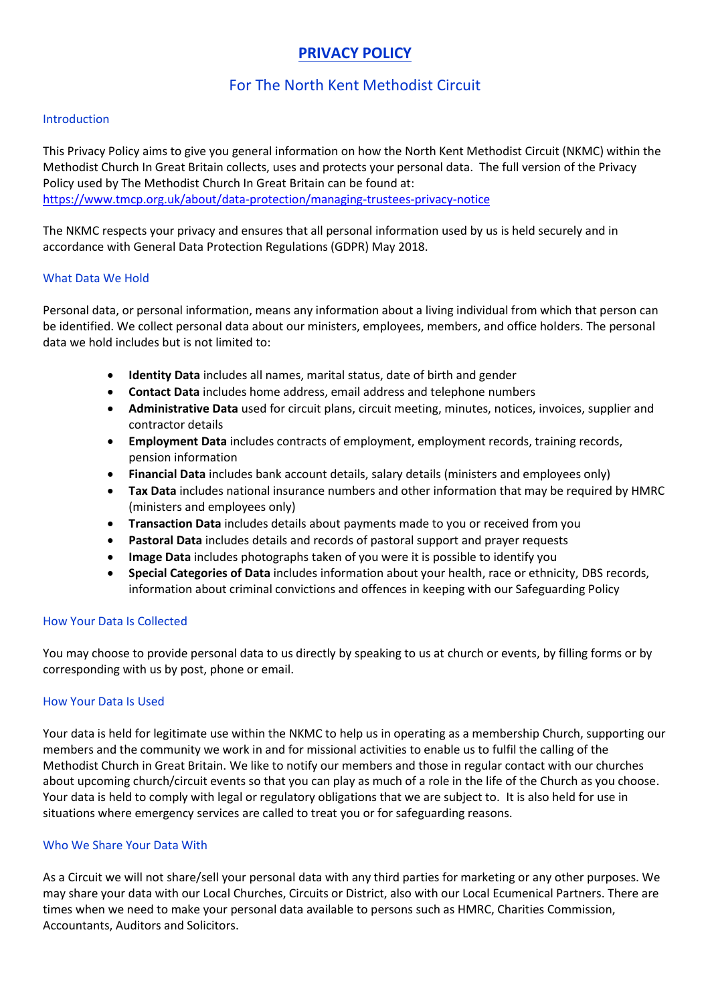# **PRIVACY POLICY**

## For The North Kent Methodist Circuit

## Introduction

This Privacy Policy aims to give you general information on how the North Kent Methodist Circuit (NKMC) within the Methodist Church In Great Britain collects, uses and protects your personal data. The full version of the Privacy Policy used by The Methodist Church In Great Britain can be found at: https://www.tmcp.org.uk/about/data-protection/managing-trustees-privacy-notice

The NKMC respects your privacy and ensures that all personal information used by us is held securely and in accordance with General Data Protection Regulations (GDPR) May 2018.

## What Data We Hold

Personal data, or personal information, means any information about a living individual from which that person can be identified. We collect personal data about our ministers, employees, members, and office holders. The personal data we hold includes but is not limited to:

- **Identity Data** includes all names, marital status, date of birth and gender
- **Contact Data** includes home address, email address and telephone numbers
- **Administrative Data** used for circuit plans, circuit meeting, minutes, notices, invoices, supplier and contractor details
- **Employment Data** includes contracts of employment, employment records, training records, pension information
- **Financial Data** includes bank account details, salary details (ministers and employees only)
- **Tax Data** includes national insurance numbers and other information that may be required by HMRC (ministers and employees only)
- **Transaction Data** includes details about payments made to you or received from you
- **Pastoral Data** includes details and records of pastoral support and prayer requests
- **Image Data** includes photographs taken of you were it is possible to identify you
- **Special Categories of Data** includes information about your health, race or ethnicity, DBS records, information about criminal convictions and offences in keeping with our Safeguarding Policy

## How Your Data Is Collected

You may choose to provide personal data to us directly by speaking to us at church or events, by filling forms or by corresponding with us by post, phone or email.

## How Your Data Is Used

Your data is held for legitimate use within the NKMC to help us in operating as a membership Church, supporting our members and the community we work in and for missional activities to enable us to fulfil the calling of the Methodist Church in Great Britain. We like to notify our members and those in regular contact with our churches about upcoming church/circuit events so that you can play as much of a role in the life of the Church as you choose. Your data is held to comply with legal or regulatory obligations that we are subject to. It is also held for use in situations where emergency services are called to treat you or for safeguarding reasons.

## Who We Share Your Data With

As a Circuit we will not share/sell your personal data with any third parties for marketing or any other purposes. We may share your data with our Local Churches, Circuits or District, also with our Local Ecumenical Partners. There are times when we need to make your personal data available to persons such as HMRC, Charities Commission, Accountants, Auditors and Solicitors.